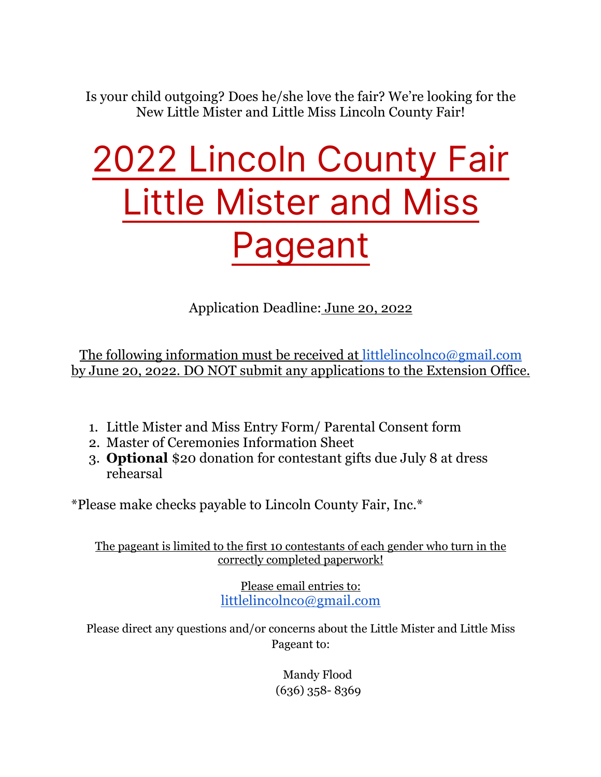Is your child outgoing? Does he/she love the fair? We're looking for the New Little Mister and Little Miss Lincoln County Fair!

# 2022 Lincoln County Fair Little Mister and Miss Pageant

Application Deadline: June 20, 2022

The following information must be received at littlelincolnco@gmail.com by June 20, 2022. DO NOT submit any applications to the Extension Office.

- 1. Little Mister and Miss Entry Form/ Parental Consent form
- 2. Master of Ceremonies Information Sheet
- 3. **Optional** \$20 donation for contestant gifts due July 8 at dress rehearsal

\*Please make checks payable to Lincoln County Fair, Inc.\*

The pageant is limited to the first 10 contestants of each gender who turn in the correctly completed paperwork!

> Please email entries to: littlelincolnco@gmail.com

Please direct any questions and/or concerns about the Little Mister and Little Miss Pageant to:

> Mandy Flood (636) 358- 8369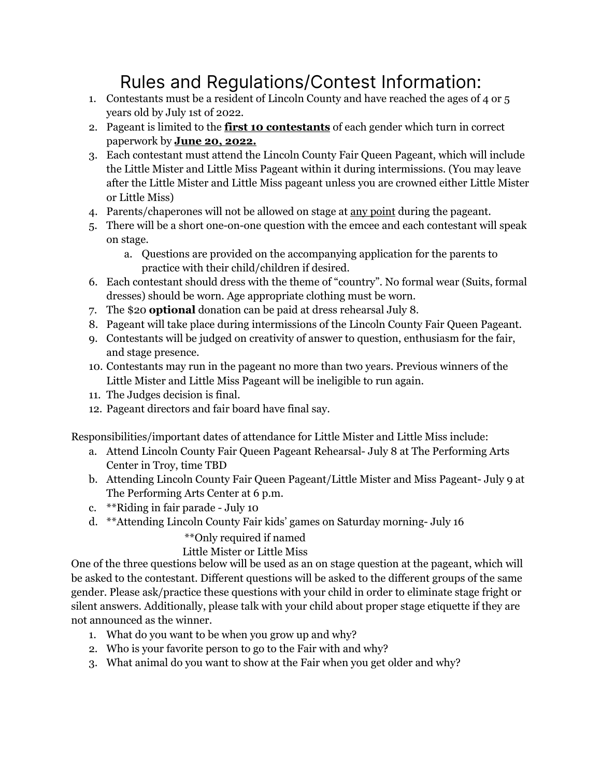#### Rules and Regulations/Contest Information:

- 1. Contestants must be a resident of Lincoln County and have reached the ages of 4 or 5 years old by July 1st of 2022.
- 2. Pageant is limited to the **first 10 contestants** of each gender which turn in correct paperwork by **June 20, 2022.**
- 3. Each contestant must attend the Lincoln County Fair Queen Pageant, which will include the Little Mister and Little Miss Pageant within it during intermissions. (You may leave after the Little Mister and Little Miss pageant unless you are crowned either Little Mister or Little Miss)
- 4. Parents/chaperones will not be allowed on stage at any point during the pageant.
- 5. There will be a short one-on-one question with the emcee and each contestant will speak on stage.
	- a. Questions are provided on the accompanying application for the parents to practice with their child/children if desired.
- 6. Each contestant should dress with the theme of "country". No formal wear (Suits, formal dresses) should be worn. Age appropriate clothing must be worn.
- 7. The \$20 **optional** donation can be paid at dress rehearsal July 8.
- 8. Pageant will take place during intermissions of the Lincoln County Fair Queen Pageant.
- 9. Contestants will be judged on creativity of answer to question, enthusiasm for the fair, and stage presence.
- 10. Contestants may run in the pageant no more than two years. Previous winners of the Little Mister and Little Miss Pageant will be ineligible to run again.
- 11. The Judges decision is final.
- 12. Pageant directors and fair board have final say.

Responsibilities/important dates of attendance for Little Mister and Little Miss include:

- a. Attend Lincoln County Fair Queen Pageant Rehearsal- July 8 at The Performing Arts Center in Troy, time TBD
- b. Attending Lincoln County Fair Queen Pageant/Little Mister and Miss Pageant- July 9 at The Performing Arts Center at 6 p.m.
- c. \*\*Riding in fair parade July 10
- d. \*\*Attending Lincoln County Fair kids' games on Saturday morning- July 16

\*\*Only required if named

#### Little Mister or Little Miss

One of the three questions below will be used as an on stage question at the pageant, which will be asked to the contestant. Different questions will be asked to the different groups of the same gender. Please ask/practice these questions with your child in order to eliminate stage fright or silent answers. Additionally, please talk with your child about proper stage etiquette if they are not announced as the winner.

- 1. What do you want to be when you grow up and why?
- 2. Who is your favorite person to go to the Fair with and why?
- 3. What animal do you want to show at the Fair when you get older and why?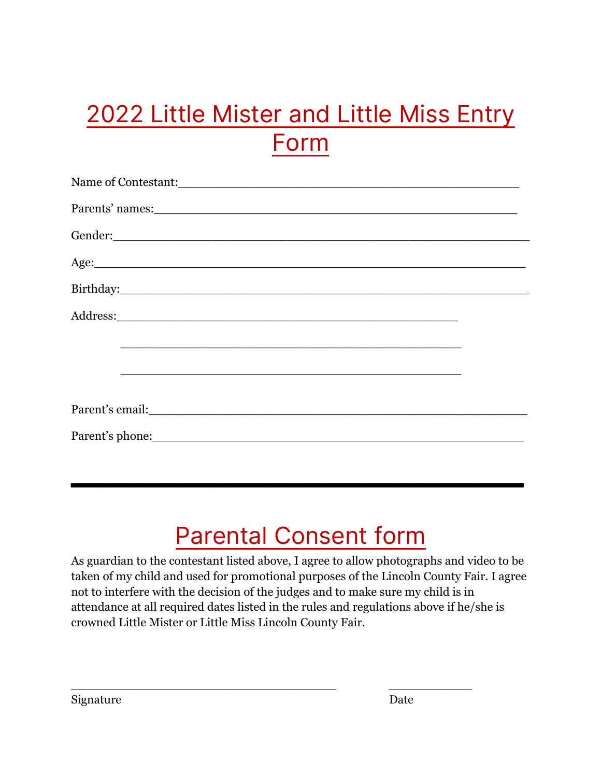### 2022 Little Mister and Little Miss Entry Form

| <u> 1989 - Johann John Stone, market fan de Fryske kun fan de ferstjer fan de ferstjer fan de ferstjer fan de fer</u> |  |
|-----------------------------------------------------------------------------------------------------------------------|--|
|                                                                                                                       |  |
| Parent's email:                                                                                                       |  |
|                                                                                                                       |  |

### Parental Consent form

 $\mathcal{L}_\text{max}$  and  $\mathcal{L}_\text{max}$  and  $\mathcal{L}_\text{max}$  and  $\mathcal{L}_\text{max}$  and  $\mathcal{L}_\text{max}$  and  $\mathcal{L}_\text{max}$ 

As guardian to the contestant listed above, I agree to allow photographs and video to be taken of my child and used for promotional purposes of the Lincoln County Fair. I agree not to interfere with the decision of the judges and to make sure my child is in attendance at all required dates listed in the rules and regulations above if he/she is crowned Little Mister or Little Miss Lincoln County Fair.

\_\_\_\_\_\_\_\_\_\_\_\_\_\_\_\_\_\_\_\_\_\_\_\_\_\_\_\_\_\_\_\_\_\_\_ \_\_\_\_\_\_\_\_\_\_\_